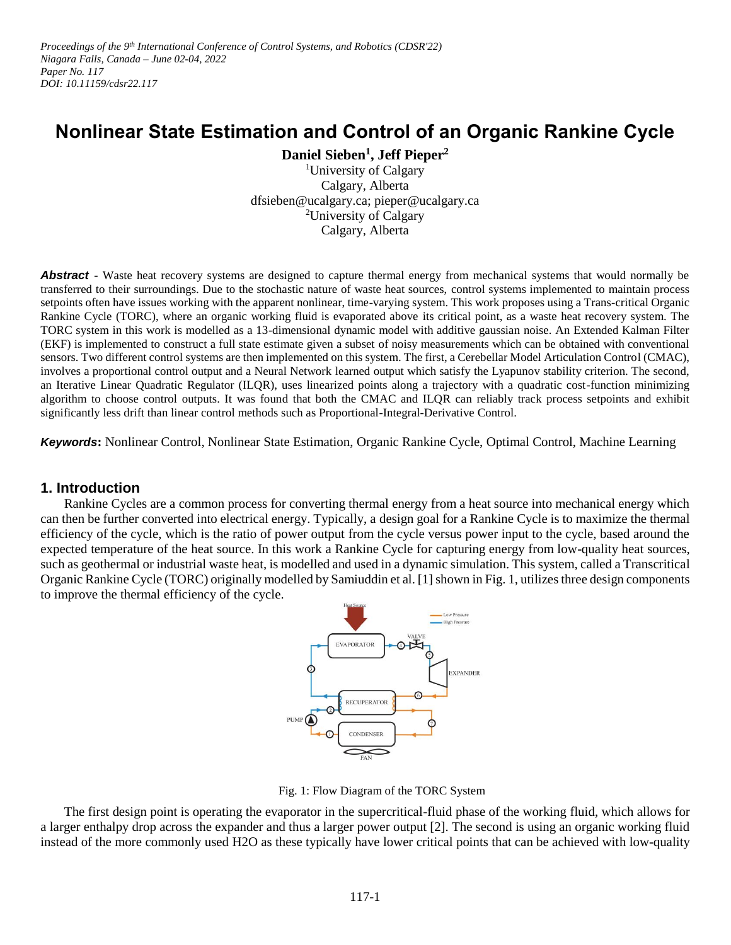Proceedings of the 9<sup>th</sup> International Conference of Control Systems, and Robotics (CDSR'22) *Niagara Falls, Canada – June 02-04, 2022 Paper No. 117 DOI: 10.11159/cdsr22.117*

# **Nonlinear State Estimation and Control of an Organic Rankine Cycle**

**Daniel Sieben<sup>1</sup> , Jeff Pieper<sup>2</sup>**

<sup>1</sup>University of Calgary Calgary, Alberta dfsieben@ucalgary.ca; pieper@ucalgary.ca <sup>2</sup>University of Calgary Calgary, Alberta

**Abstract -** Waste heat recovery systems are designed to capture thermal energy from mechanical systems that would normally be transferred to their surroundings. Due to the stochastic nature of waste heat sources, control systems implemented to maintain process setpoints often have issues working with the apparent nonlinear, time-varying system. This work proposes using a Trans-critical Organic Rankine Cycle (TORC), where an organic working fluid is evaporated above its critical point, as a waste heat recovery system. The TORC system in this work is modelled as a 13-dimensional dynamic model with additive gaussian noise. An Extended Kalman Filter (EKF) is implemented to construct a full state estimate given a subset of noisy measurements which can be obtained with conventional sensors. Two different control systems are then implemented on this system. The first, a Cerebellar Model Articulation Control (CMAC), involves a proportional control output and a Neural Network learned output which satisfy the Lyapunov stability criterion. The second, an Iterative Linear Quadratic Regulator (ILQR), uses linearized points along a trajectory with a quadratic cost-function minimizing algorithm to choose control outputs. It was found that both the CMAC and ILQR can reliably track process setpoints and exhibit significantly less drift than linear control methods such as Proportional-Integral-Derivative Control.

*Keywords***:** Nonlinear Control, Nonlinear State Estimation, Organic Rankine Cycle, Optimal Control, Machine Learning

## **1. Introduction**

Rankine Cycles are a common process for converting thermal energy from a heat source into mechanical energy which can then be further converted into electrical energy. Typically, a design goal for a Rankine Cycle is to maximize the thermal efficiency of the cycle, which is the ratio of power output from the cycle versus power input to the cycle, based around the expected temperature of the heat source. In this work a Rankine Cycle for capturing energy from low-quality heat sources, such as geothermal or industrial waste heat, is modelled and used in a dynamic simulation. This system, called a Transcritical Organic Rankine Cycle (TORC) originally modelled by Samiuddin et al. [1] shown in Fig. 1, utilizes three design components to improve the thermal efficiency of the cycle.



Fig. 1: Flow Diagram of the TORC System

The first design point is operating the evaporator in the supercritical-fluid phase of the working fluid, which allows for a larger enthalpy drop across the expander and thus a larger power output [2]. The second is using an organic working fluid instead of the more commonly used H2O as these typically have lower critical points that can be achieved with low-quality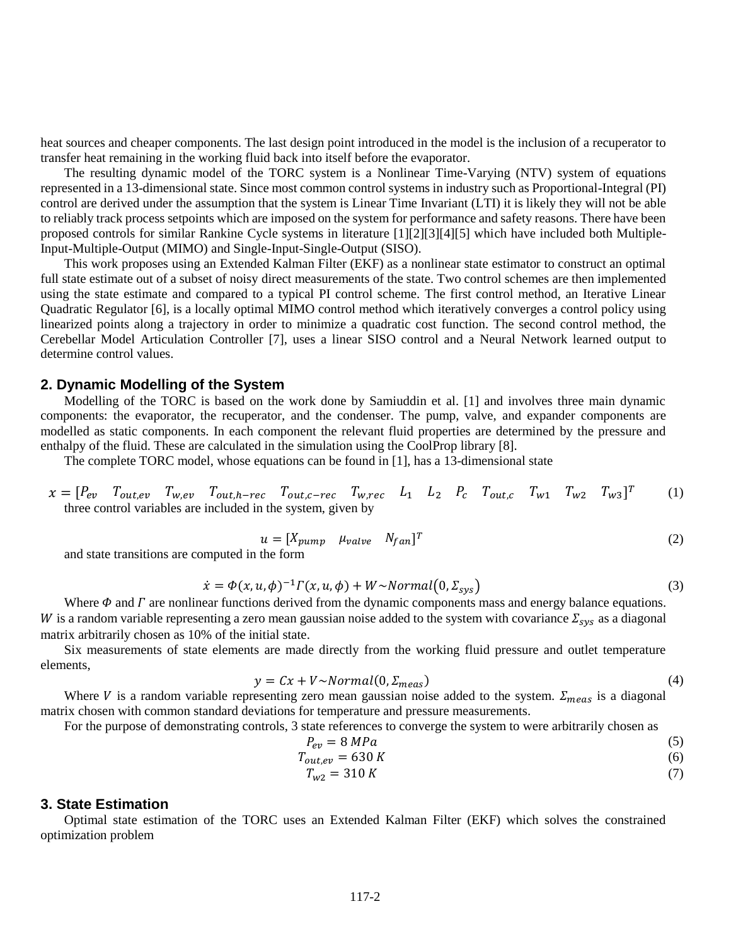heat sources and cheaper components. The last design point introduced in the model is the inclusion of a recuperator to transfer heat remaining in the working fluid back into itself before the evaporator.

The resulting dynamic model of the TORC system is a Nonlinear Time-Varying (NTV) system of equations represented in a 13-dimensional state. Since most common control systems in industry such as Proportional-Integral (PI) control are derived under the assumption that the system is Linear Time Invariant (LTI) it is likely they will not be able to reliably track process setpoints which are imposed on the system for performance and safety reasons. There have been proposed controls for similar Rankine Cycle systems in literature [1][2][3][4][5] which have included both Multiple-Input-Multiple-Output (MIMO) and Single-Input-Single-Output (SISO).

This work proposes using an Extended Kalman Filter (EKF) as a nonlinear state estimator to construct an optimal full state estimate out of a subset of noisy direct measurements of the state. Two control schemes are then implemented using the state estimate and compared to a typical PI control scheme. The first control method, an Iterative Linear Quadratic Regulator [6], is a locally optimal MIMO control method which iteratively converges a control policy using linearized points along a trajectory in order to minimize a quadratic cost function. The second control method, the Cerebellar Model Articulation Controller [7], uses a linear SISO control and a Neural Network learned output to determine control values.

## **2. Dynamic Modelling of the System**

Modelling of the TORC is based on the work done by Samiuddin et al. [1] and involves three main dynamic components: the evaporator, the recuperator, and the condenser. The pump, valve, and expander components are modelled as static components. In each component the relevant fluid properties are determined by the pressure and enthalpy of the fluid. These are calculated in the simulation using the CoolProp library [8].

The complete TORC model, whose equations can be found in [1], has a 13-dimensional state

$$
x = [P_{ev} \quad T_{out,ev} \quad T_{w,ev} \quad T_{out,h-rec} \quad T_{out,c-rec} \quad T_{w,rec} \quad L_1 \quad L_2 \quad P_c \quad T_{out,c} \quad T_{w1} \quad T_{w2} \quad T_{w3}]^T
$$
 (1)  
three control variables are included in the system, given by

$$
u = [X_{pump} \quad \mu_{value} \quad N_{fan}]^T \tag{2}
$$

and state transitions are computed in the form

$$
\dot{x} = \Phi(x, u, \phi)^{-1} \Gamma(x, u, \phi) + W \sim Normal\big(0, \Sigma_{sys}\big)
$$
\n(3)

Where  $\Phi$  and  $\Gamma$  are nonlinear functions derived from the dynamic components mass and energy balance equations. W is a random variable representing a zero mean gaussian noise added to the system with covariance  $\Sigma_{sys}$  as a diagonal matrix arbitrarily chosen as 10% of the initial state.

Six measurements of state elements are made directly from the working fluid pressure and outlet temperature elements,

$$
y = Cx + V \sim Normal(0, \Sigma_{meas})
$$
\n<sup>(4)</sup>

Where V is a random variable representing zero mean gaussian noise added to the system.  $\Sigma_{meas}$  is a diagonal matrix chosen with common standard deviations for temperature and pressure measurements.

For the purpose of demonstrating controls, 3 state references to converge the system to were arbitrarily chosen as

$$
P_{ev} = 8 MPa \tag{5}
$$

$$
T_{out,ev} = 630 K \tag{6}
$$

$$
T_{w2} = 310 K \tag{7}
$$

## **3. State Estimation**

Optimal state estimation of the TORC uses an Extended Kalman Filter (EKF) which solves the constrained optimization problem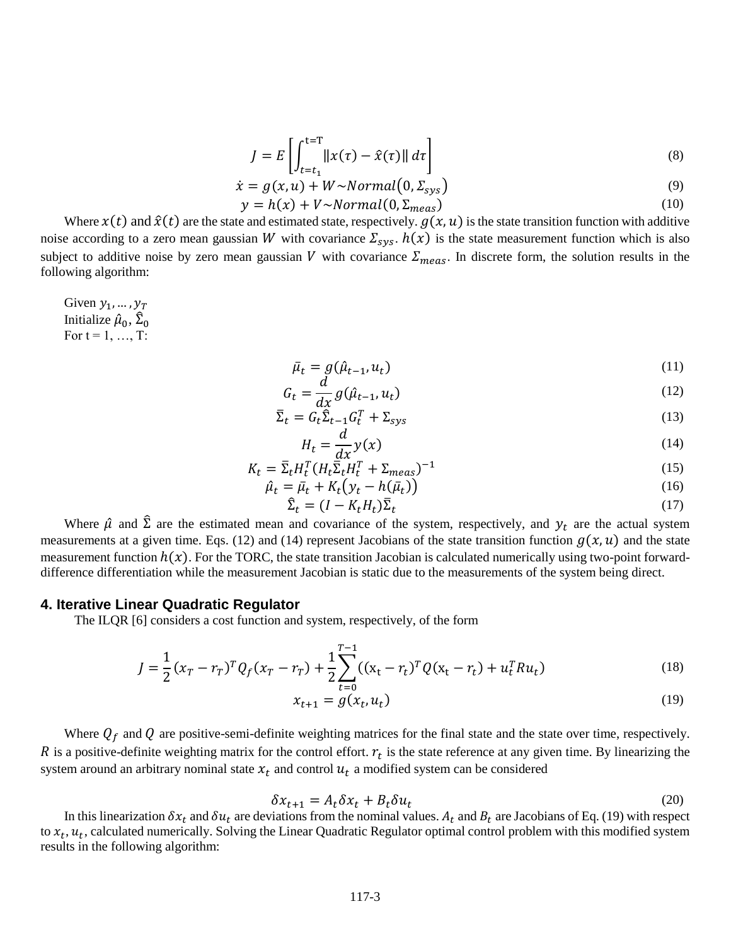$$
J = E\left[\int_{t=t_1}^{t=T} ||x(\tau) - \hat{x}(\tau)|| d\tau\right]
$$
 (8)

$$
\dot{x} = g(x, u) + W \sim Normal\big(0, \Sigma_{sys}\big) \tag{9}
$$

$$
y = h(x) + V \sim Normal(0, \Sigma_{meas})
$$
 (10)

Where  $x(t)$  and  $\hat{x}(t)$  are the state and estimated state, respectively.  $g(x, u)$  is the state transition function with additive noise according to a zero mean gaussian W with covariance  $\Sigma_{sys}$ .  $h(x)$  is the state measurement function which is also subject to additive noise by zero mean gaussian V with covariance  $\Sigma_{meas}$ . In discrete form, the solution results in the following algorithm:

Given  $y_1, \ldots, y_T$ Initialize  $\hat{\mu}_0$ ,  $\hat{\Sigma}_0$ For  $t = 1, ..., T$ :

$$
\bar{\mu}_t = g(\hat{\mu}_{t-1}, u_t) \tag{11}
$$

$$
G_t = \frac{d}{dx} g(\hat{\mu}_{t-1}, u_t)
$$
\n(12)

$$
\bar{\Sigma}_t = G_t \tilde{\Sigma}_{t-1} G_t^T + \Sigma_{sys} \tag{13}
$$

$$
H_t = \frac{d}{dx} y(x) \tag{14}
$$

$$
K_t = \bar{\Sigma}_t H_t^T (H_t \bar{\Sigma}_t H_t^T + \Sigma_{meas})^{-1}
$$
\n<sup>(15)</sup>

$$
\hat{\mu}_t = \bar{\mu}_t + K_t \big( y_t - h(\bar{\mu}_t) \big) \tag{16}
$$

$$
\hat{\Sigma}_t = (I - K_t H_t) \bar{\Sigma}_t \tag{17}
$$

 $\hat{\Sigma}_t = (I - K_t H_t) \overline{\Sigma}_t$  (17)<br>Where  $\hat{\mu}$  and  $\hat{\Sigma}$  are the estimated mean and covariance of the system, respectively, and  $y_t$  are the actual system measurements at a given time. Eqs. (12) and (14) represent Jacobians of the state transition function  $g(x, u)$  and the state measurement function  $h(x)$ . For the TORC, the state transition Jacobian is calculated numerically using two-point forwarddifference differentiation while the measurement Jacobian is static due to the measurements of the system being direct.

#### **4. Iterative Linear Quadratic Regulator**

The ILQR [6] considers a cost function and system, respectively, of the form

$$
J = \frac{1}{2} (x_T - r_T)^T Q_f (x_T - r_T) + \frac{1}{2} \sum_{t=0}^{T-1} ((x_t - r_t)^T Q (x_t - r_t) + u_t^T R u_t)
$$
(18)

$$
x_{t+1} = g(x_t, u_t) \tag{19}
$$

Where  $Q_f$  and  $Q$  are positive-semi-definite weighting matrices for the final state and the state over time, respectively. R is a positive-definite weighting matrix for the control effort.  $r_t$  is the state reference at any given time. By linearizing the system around an arbitrary nominal state  $x_t$  and control  $u_t$  a modified system can be considered

$$
\delta x_{t+1} = A_t \delta x_t + B_t \delta u_t \tag{20}
$$

In this linearization  $\delta x_t$  and  $\delta u_t$  are deviations from the nominal values.  $A_t$  and  $B_t$  are Jacobians of Eq. (19) with respect to  $x_t$ ,  $u_t$ , calculated numerically. Solving the Linear Quadratic Regulator optimal control problem with this modified system results in the following algorithm: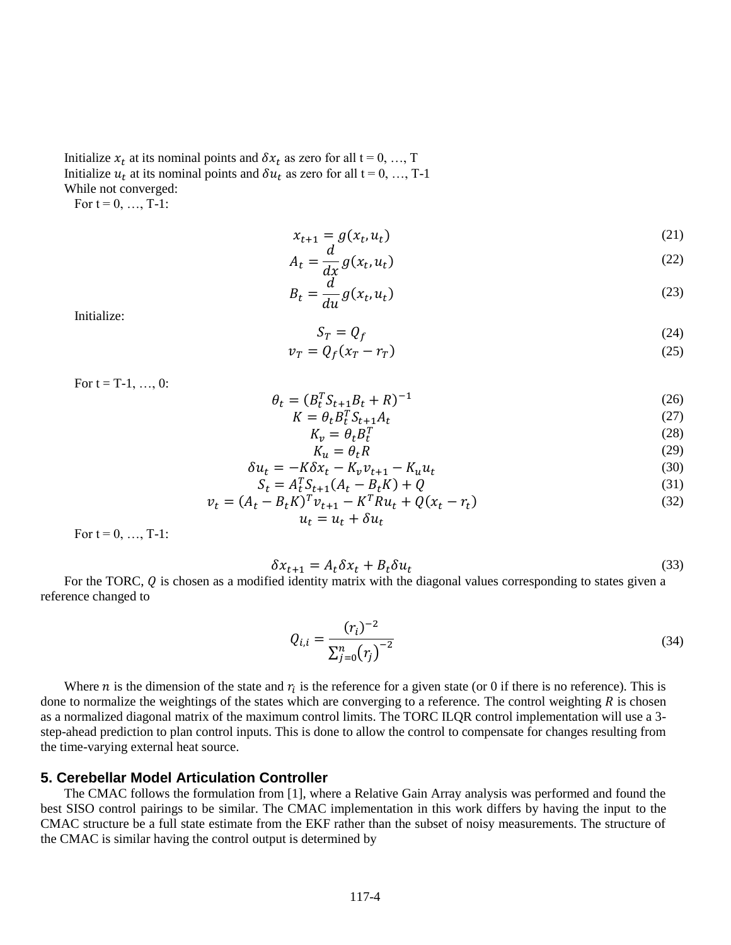Initialize  $x_t$  at its nominal points and  $\delta x_t$  as zero for all t = 0, ..., T Initialize  $u_t$  at its nominal points and  $\delta u_t$  as zero for all t = 0, ..., T-1 While not converged:

For  $t = 0, ..., T-1$ :

$$
x_{t+1} = g(x_t, u_t) \tag{21}
$$

$$
A_t = \frac{d}{dx} g(x_t, u_t) \tag{22}
$$

$$
B_t = \frac{d}{du} g(x_t, u_t) \tag{23}
$$

Initialize:

$$
S_T = Q_f \tag{24}
$$

$$
v_T = Q_f(x_T - r_T) \tag{25}
$$

For  $t = T-1, ..., 0$ :

$$
\theta_t = (B_t^T S_{t+1} B_t + R)^{-1}
$$
\n(26)

$$
K = \theta_t B_t^T S_{t+1} A_t \tag{27}
$$
\n
$$
K = A B_t^T S_{t+1} A_t \tag{28}
$$

$$
K_v = \theta_t B_t^T \tag{28}
$$

$$
K_u = \theta_t R \tag{29}
$$
  

$$
\delta u_t = -K \delta x_t - K_n v_{t+1} - K_n u_t \tag{30}
$$

$$
S_t = A_t^T S_{t+1} (A_t - B_t K) + Q
$$
 (31)

$$
v_t = (A_t - B_t K)^T v_{t+1} - K^T R u_t + Q(x_t - r_t)
$$
  
\n
$$
u_t = u_t + \delta u_t
$$
\n(32)

For  $t = 0, ..., T-1$ :

$$
\delta x_{t+1} = A_t \delta x_t + B_t \delta u_t \tag{33}
$$

For the TORC,  $Q$  is chosen as a modified identity matrix with the diagonal values corresponding to states given a reference changed to

$$
Q_{i,i} = \frac{(r_i)^{-2}}{\sum_{j=0}^{n} (r_j)^{-2}}\tag{34}
$$

Where *n* is the dimension of the state and  $r_i$  is the reference for a given state (or 0 if there is no reference). This is done to normalize the weightings of the states which are converging to a reference. The control weighting  $R$  is chosen as a normalized diagonal matrix of the maximum control limits. The TORC ILQR control implementation will use a 3 step-ahead prediction to plan control inputs. This is done to allow the control to compensate for changes resulting from the time-varying external heat source.

## **5. Cerebellar Model Articulation Controller**

The CMAC follows the formulation from [1], where a Relative Gain Array analysis was performed and found the best SISO control pairings to be similar. The CMAC implementation in this work differs by having the input to the CMAC structure be a full state estimate from the EKF rather than the subset of noisy measurements. The structure of the CMAC is similar having the control output is determined by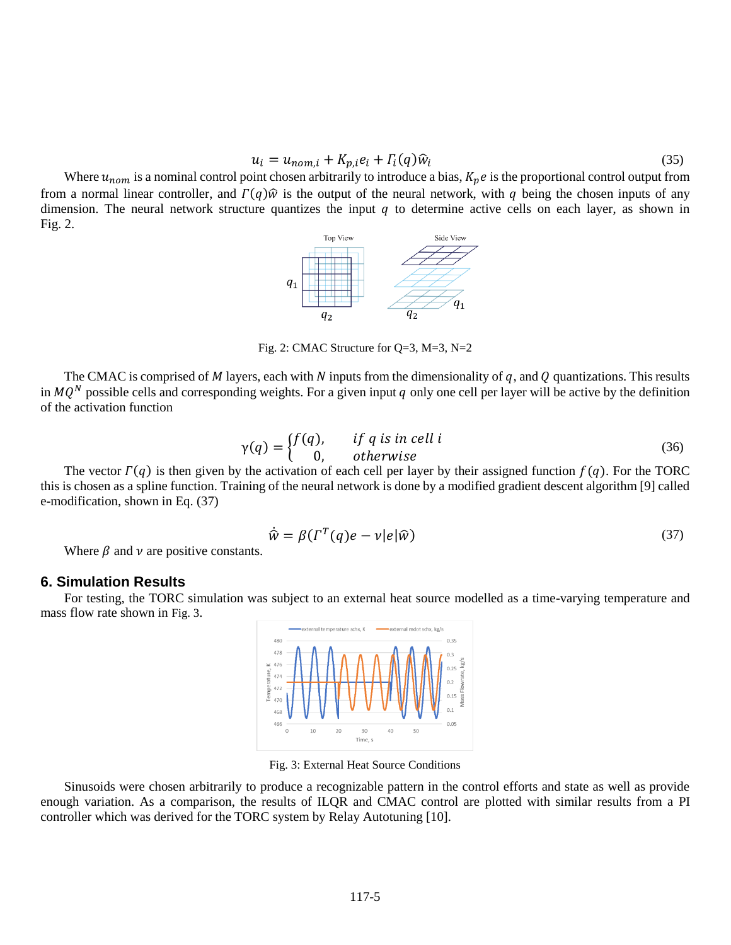$$
u_i = u_{nom,i} + K_{p,i}e_i + \Gamma_i(q)\hat{w}_i
$$
\n(35)

Where  $u_{nom}$  is a nominal control point chosen arbitrarily to introduce a bias,  $K_p e$  is the proportional control output from from a normal linear controller, and  $\Gamma(q)\hat{w}$  is the output of the neural network, with q being the chosen inputs of any dimension.The neural network structure quantizes the input q to determine active cells on each layer, as shown in [Fig. 2.](#page-4-0)

<span id="page-4-0"></span>

Fig. 2: CMAC Structure for Q=3, M=3, N=2

The CMAC is comprised of M layers, each with N inputs from the dimensionality of q, and Q quantizations. This results in  $MQ^N$  possible cells and corresponding weights. For a given input q only one cell per layer will be active by the definition of the activation function

$$
\gamma(q) = \begin{cases} f(q), & \text{if } q \text{ is in cell } i \\ 0, & \text{otherwise} \end{cases} \tag{36}
$$

The vector  $\Gamma(q)$  is then given by the activation of each cell per layer by their assigned function  $f(q)$ . For the TORC this is chosen as a spline function. Training of the neural network is done by a modified gradient descent algorithm [9] called e-modification, shown in Eq. (37)

$$
\dot{\hat{w}} = \beta(\Gamma^T(q)e - v|e|\hat{w})
$$
\n(37)

Where  $\beta$  and  $\nu$  are positive constants.

#### **6. Simulation Results**

For testing, the TORC simulation was subject to an external heat source modelled as a time-varying temperature and mass flow rate shown in [Fig. 3](#page-4-1).



Fig. 3: External Heat Source Conditions

<span id="page-4-1"></span>Sinusoids were chosen arbitrarily to produce a recognizable pattern in the control efforts and state as well as provide enough variation. As a comparison, the results of ILQR and CMAC control are plotted with similar results from a PI controller which was derived for the TORC system by Relay Autotuning [10].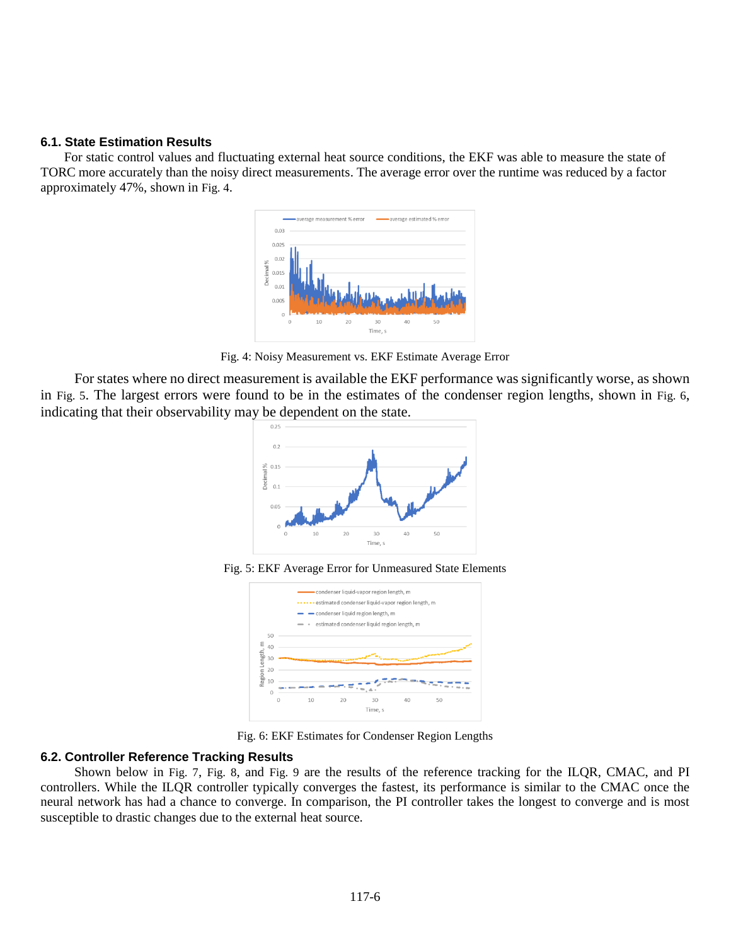## **6.1. State Estimation Results**

For static control values and fluctuating external heat source conditions, the EKF was able to measure the state of TORC more accurately than the noisy direct measurements. The average error over the runtime was reduced by a factor approximately 47%, shown in [Fig. 4](#page-5-0).



Fig. 4: Noisy Measurement vs. EKF Estimate Average Error

<span id="page-5-1"></span><span id="page-5-0"></span>For states where no direct measurement is available the EKF performance was significantly worse, as shown in [Fig. 5](#page-5-1). The largest errors were found to be in the estimates of the condenser region lengths, shown in [Fig. 6](#page-5-2), indicating that their observability may be dependent on the state.



Fig. 5: EKF Average Error for Unmeasured State Elements



Fig. 6: EKF Estimates for Condenser Region Lengths

## <span id="page-5-2"></span>**6.2. Controller Reference Tracking Results**

Shown below in [Fig. 7](#page-6-0), [Fig. 8](#page-6-1), and [Fig. 9](#page-6-2) are the results of the reference tracking for the ILQR, CMAC, and PI controllers. While the ILQR controller typically converges the fastest, its performance is similar to the CMAC once the neural network has had a chance to converge. In comparison, the PI controller takes the longest to converge and is most susceptible to drastic changes due to the external heat source.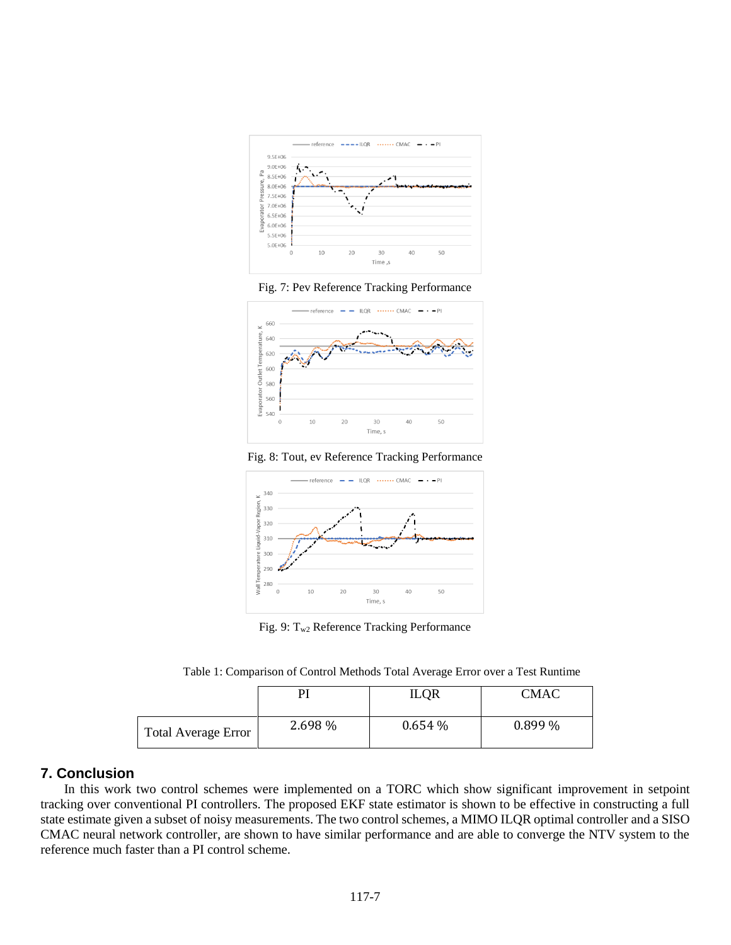



<span id="page-6-0"></span>

Fig. 8: Tout, ev Reference Tracking Performance

<span id="page-6-1"></span>

Fig. 9: Tw2 Reference Tracking Performance

Table 1: Comparison of Control Methods Total Average Error over a Test Runtime

<span id="page-6-2"></span>

|                     |         | <b>ILQR</b> | <b>CMAC</b> |
|---------------------|---------|-------------|-------------|
| Total Average Error | 2.698 % | 0.654%      | $0.899\%$   |

## **7. Conclusion**

In this work two control schemes were implemented on a TORC which show significant improvement in setpoint tracking over conventional PI controllers. The proposed EKF state estimator is shown to be effective in constructing a full state estimate given a subset of noisy measurements. The two control schemes, a MIMO ILQR optimal controller and a SISO CMAC neural network controller, are shown to have similar performance and are able to converge the NTV system to the reference much faster than a PI control scheme.